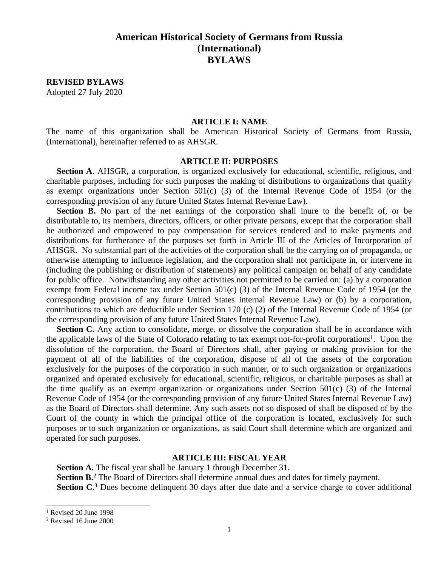# **American Historical Society of Germans from Russia (International) BYLAWS**

**REVISED BYLAWS** Adopted 27 July 2020

#### **ARTICLE I: NAME**

The name of this organization shall be American Historical Society of Germans from Russia, (International), hereinafter referred to as AHSGR.

## **ARTICLE II: PURPOSES**

**Section A**. AHSGR**,** a corporation, is organized exclusively for educational, scientific, religious, and charitable purposes, including for such purposes the making of distributions to organizations that qualify as exempt organizations under Section 501(c) (3) of the Internal Revenue Code of 1954 (or the corresponding provision of any future United States Internal Revenue Law).

Section B. No part of the net earnings of the corporation shall inure to the benefit of, or be distributable to, its members, directors, officers, or other private persons, except that the corporation shall be authorized and empowered to pay compensation for services rendered and to make payments and distributions for furtherance of the purposes set forth in Article III of the Articles of Incorporation of AHSGR. No substantial part of the activities of the corporation shall be the carrying on of propaganda, or otherwise attempting to influence legislation, and the corporation shall not participate in, or intervene in (including the publishing or distribution of statements) any political campaign on behalf of any candidate for public office. Notwithstanding any other activities not permitted to be carried on: (a) by a corporation exempt from Federal income tax under Section 501(c) (3) of the Internal Revenue Code of 1954 (or the corresponding provision of any future United States Internal Revenue Law) or (b) by a corporation, contributions to which are deductible under Section 170 (c) (2) of the Internal Revenue Code of 1954 (or the corresponding provision of any future United States Internal Revenue Law).

**Section C.** Any action to consolidate, merge, or dissolve the corporation shall be in accordance with the applicable laws of the State of Colorado relating to tax exempt not-for-profit corporations<sup>1</sup>. Upon the dissolution of the corporation, the Board of Directors shall, after paying or making provision for the payment of all of the liabilities of the corporation, dispose of all of the assets of the corporation exclusively for the purposes of the corporation in such manner, or to such organization or organizations organized and operated exclusively for educational, scientific, religious, or charitable purposes as shall at the time qualify as an exempt organization or organizations under Section 501(c) (3) of the Internal Revenue Code of 1954 (or the corresponding provision of any future United States Internal Revenue Law) as the Board of Directors shall determine. Any such assets not so disposed of shall be disposed of by the Court of the county in which the principal office of the corporation is located, exclusively for such purposes or to such organization or organizations, as said Court shall determine which are organized and operated for such purposes.

#### **ARTICLE III: FISCAL YEAR**

**Section A.** The fiscal year shall be January 1 through December 31. Section B.<sup>2</sup> The Board of Directors shall determine annual dues and dates for timely payment. **Section C.<sup>3</sup>** Dues become delinquent 30 days after due date and a service charge to cover additional

 $<sup>1</sup>$  Revised 20 June 1998</sup>

<sup>2</sup> Revised 16 June 2000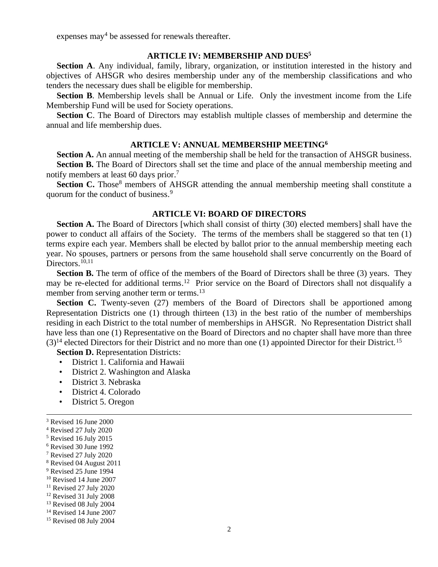expenses may<sup>4</sup> be assessed for renewals thereafter.

## **ARTICLE IV: MEMBERSHIP AND DUES<sup>5</sup>**

**Section A**. Any individual, family, library, organization, or institution interested in the history and objectives of AHSGR who desires membership under any of the membership classifications and who tenders the necessary dues shall be eligible for membership.

**Section B**. Membership levels shall be Annual or Life. Only the investment income from the Life Membership Fund will be used for Society operations.

**Section C**. The Board of Directors may establish multiple classes of membership and determine the annual and life membership dues.

#### **ARTICLE V: ANNUAL MEMBERSHIP MEETING<sup>6</sup>**

**Section A.** An annual meeting of the membership shall be held for the transaction of AHSGR business. **Section B.** The Board of Directors shall set the time and place of the annual membership meeting and notify members at least 60 days prior. 7

Section C. Those<sup>8</sup> members of AHSGR attending the annual membership meeting shall constitute a quorum for the conduct of business. 9

#### **ARTICLE VI: BOARD OF DIRECTORS**

**Section A.** The Board of Directors [which shall consist of thirty (30) elected members] shall have the power to conduct all affairs of the Society. The terms of the members shall be staggered so that ten (1) terms expire each year. Members shall be elected by ballot prior to the annual membership meeting each year. No spouses, partners or persons from the same household shall serve concurrently on the Board of Directors. $^{10,11}$ 

**Section B.** The term of office of the members of the Board of Directors shall be three (3) years. They may be re-elected for additional terms.<sup>12</sup> Prior service on the Board of Directors shall not disqualify a member from serving another term or terms.<sup>13</sup>

**Section C.** Twenty-seven (27) members of the Board of Directors shall be apportioned among Representation Districts one (1) through thirteen (13) in the best ratio of the number of memberships residing in each District to the total number of memberships in AHSGR. No Representation District shall have less than one (1) Representative on the Board of Directors and no chapter shall have more than three  $(3)^{14}$  elected Directors for their District and no more than one (1) appointed Director for their District.<sup>15</sup>

**Section D.** Representation Districts:

- District 1. California and Hawaii
- District 2. Washington and Alaska
- District 3. Nebraska
- District 4. Colorado
- District 5. Oregon

- <sup>9</sup> Revised 25 June 1994
- <sup>10</sup> Revised 14 June 2007  $11$  Revised 27 July 2020
- <sup>12</sup> Revised 31 July 2008
- <sup>13</sup> Revised 08 July 2004

<sup>3</sup> Revised 16 June 2000

<sup>4</sup> Revised 27 July 2020

<sup>5</sup> Revised 16 July 2015

<sup>6</sup> Revised 30 June 1992

<sup>7</sup> Revised 27 July 2020

<sup>8</sup> Revised 04 August 2011

<sup>14</sup> Revised 14 June 2007

<sup>&</sup>lt;sup>15</sup> Revised 08 July 2004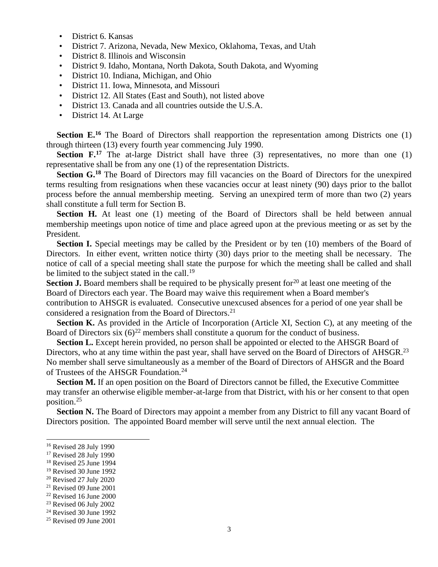- District 6. Kansas
- District 7. Arizona, Nevada, New Mexico, Oklahoma, Texas, and Utah
- District 8. Illinois and Wisconsin
- District 9. Idaho, Montana, North Dakota, South Dakota, and Wyoming
- District 10. Indiana, Michigan, and Ohio
- District 11. Iowa, Minnesota, and Missouri
- District 12. All States (East and South), not listed above
- District 13. Canada and all countries outside the U.S.A.
- District 14. At Large

Section E.<sup>16</sup> The Board of Directors shall reapportion the representation among Districts one (1) through thirteen (13) every fourth year commencing July 1990.

**Section F.**<sup>17</sup> The at-large District shall have three (3) representatives, no more than one (1) representative shall be from any one (1) of the representation Districts.

Section G.<sup>18</sup> The Board of Directors may fill vacancies on the Board of Directors for the unexpired terms resulting from resignations when these vacancies occur at least ninety (90) days prior to the ballot process before the annual membership meeting. Serving an unexpired term of more than two (2) years shall constitute a full term for Section B.

**Section H.** At least one (1) meeting of the Board of Directors shall be held between annual membership meetings upon notice of time and place agreed upon at the previous meeting or as set by the President.

**Section I.** Special meetings may be called by the President or by ten (10) members of the Board of Directors. In either event, written notice thirty (30) days prior to the meeting shall be necessary. The notice of call of a special meeting shall state the purpose for which the meeting shall be called and shall be limited to the subject stated in the call.<sup>19</sup>

**Section J.** Board members shall be required to be physically present for<sup>20</sup> at least one meeting of the Board of Directors each year. The Board may waive this requirement when a Board member's contribution to AHSGR is evaluated. Consecutive unexcused absences for a period of one year shall be considered a resignation from the Board of Directors.<sup>21</sup>

**Section K.** As provided in the Article of Incorporation (Article XI, Section C), at any meeting of the Board of Directors six  $(6)^{22}$  members shall constitute a quorum for the conduct of business.

Section L. Except herein provided, no person shall be appointed or elected to the AHSGR Board of Directors, who at any time within the past year, shall have served on the Board of Directors of AHSGR.<sup>23</sup> No member shall serve simultaneously as a member of the Board of Directors of AHSGR and the Board of Trustees of the AHSGR Foundation.<sup>24</sup>

**Section M.** If an open position on the Board of Directors cannot be filled, the Executive Committee may transfer an otherwise eligible member-at-large from that District, with his or her consent to that open position.<sup>25</sup>

**Section N.** The Board of Directors may appoint a member from any District to fill any vacant Board of Directors position. The appointed Board member will serve until the next annual election. The

- <sup>19</sup> Revised 30 June 1992
- <sup>20</sup> Revised 27 July 2020
- $21$  Revised 09 June 2001
- <sup>22</sup> Revised 16 June 2000
- <sup>23</sup> Revised 06 July 2002

<sup>16</sup> Revised 28 July 1990

<sup>&</sup>lt;sup>17</sup> Revised 28 July 1990

<sup>&</sup>lt;sup>18</sup> Revised 25 June 1994

<sup>24</sup> Revised 30 June 1992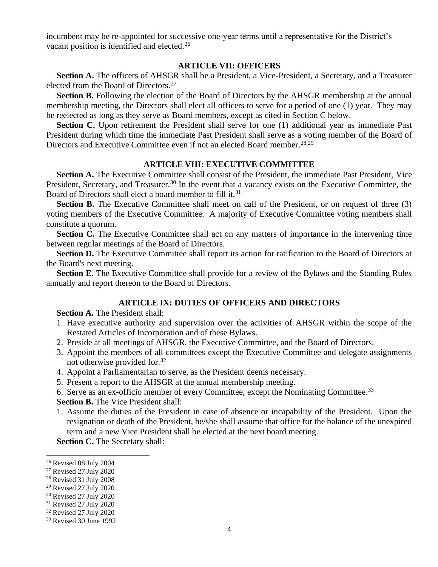incumbent may be re-appointed for successive one-year terms until a representative for the District's vacant position is identified and elected.<sup>26</sup>

#### **ARTICLE VII: OFFICERS**

**Section A.** The officers of AHSGR shall be a President, a Vice-President, a Secretary, and a Treasurer elected from the Board of Directors. 27

**Section B.** Following the election of the Board of Directors by the AHSGR membership at the annual membership meeting, the Directors shall elect all officers to serve for a period of one (1) year. They may be reelected as long as they serve as Board members, except as cited in Section C below.

Section C. Upon retirement the President shall serve for one (1) additional year as immediate Past President during which time the immediate Past President shall serve as a voting member of the Board of Directors and Executive Committee even if not an elected Board member. 28,29

### **ARTICLE VIII: EXECUTIVE COMMITTEE**

**Section A.** The Executive Committee shall consist of the President, the immediate Past President, Vice President, Secretary, and Treasurer.<sup>30</sup> In the event that a vacancy exists on the Executive Committee, the Board of Directors shall elect a board member to fill it.<sup>31</sup>

**Section B.** The Executive Committee shall meet on call of the President, or on request of three (3) voting members of the Executive Committee. A majority of Executive Committee voting members shall constitute a quorum.

Section C. The Executive Committee shall act on any matters of importance in the intervening time between regular meetings of the Board of Directors.

**Section D.** The Executive Committee shall report its action for ratification to the Board of Directors at the Board's next meeting.

**Section E.** The Executive Committee shall provide for a review of the Bylaws and the Standing Rules annually and report thereon to the Board of Directors.

#### **ARTICLE IX: DUTIES OF OFFICERS AND DIRECTORS**

**Section A.** The President shall:

- 1. Have executive authority and supervision over the activities of AHSGR within the scope of the Restated Articles of Incorporation and of these Bylaws.
- 2. Preside at all meetings of AHSGR, the Executive Committee, and the Board of Directors.
- 3. Appoint the members of all committees except the Executive Committee and delegate assignments not otherwise provided for.<sup>32</sup>
- 4. Appoint a Parliamentarian to serve, as the President deems necessary.
- 5. Present a report to the AHSGR at the annual membership meeting.

6. Serve as an ex-officio member of every Committee, except the Nominating Committee.<sup>33</sup>

**Section B.** The Vice President shall:

- 1. Assume the duties of the President in case of absence or incapability of the President. Upon the resignation or death of the President, he/she shall assume that office for the balance of the unexpired term and a new Vice President shall be elected at the next board meeting.
- **Section C.** The Secretary shall:

<sup>26</sup> Revised 08 July 2004

<sup>27</sup> Revised 27 July 2020

<sup>28</sup> Revised 31 July 2008

<sup>29</sup> Revised 27 July 2020

<sup>30</sup> Revised 27 July 2020

<sup>31</sup> Revised 27 July 2020

<sup>32</sup> Revised 27 July 2020

<sup>33</sup> Revised 30 June 1992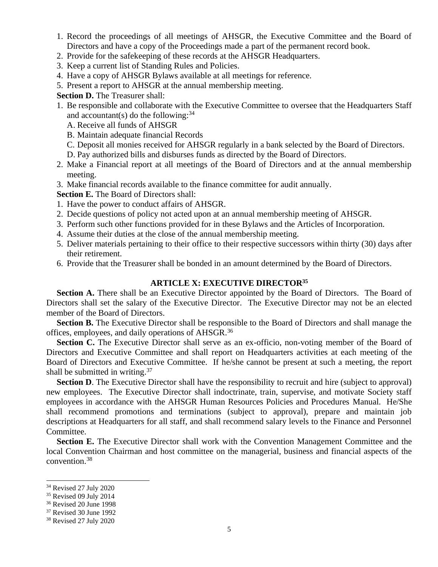- 1. Record the proceedings of all meetings of AHSGR, the Executive Committee and the Board of Directors and have a copy of the Proceedings made a part of the permanent record book.
- 2. Provide for the safekeeping of these records at the AHSGR Headquarters.
- 3. Keep a current list of Standing Rules and Policies.
- 4. Have a copy of AHSGR Bylaws available at all meetings for reference.
- 5. Present a report to AHSGR at the annual membership meeting.

**Section D.** The Treasurer shall:

- 1. Be responsible and collaborate with the Executive Committee to oversee that the Headquarters Staff and accountant(s) do the following:  $34$ 
	- A. Receive all funds of AHSGR
	- B. Maintain adequate financial Records
	- C. Deposit all monies received for AHSGR regularly in a bank selected by the Board of Directors.
	- D. Pay authorized bills and disburses funds as directed by the Board of Directors.
- 2. Make a Financial report at all meetings of the Board of Directors and at the annual membership meeting.
- 3. Make financial records available to the finance committee for audit annually.

**Section E.** The Board of Directors shall:

- 1. Have the power to conduct affairs of AHSGR.
- 2. Decide questions of policy not acted upon at an annual membership meeting of AHSGR.
- 3. Perform such other functions provided for in these Bylaws and the Articles of Incorporation.
- 4. Assume their duties at the close of the annual membership meeting.
- 5. Deliver materials pertaining to their office to their respective successors within thirty (30) days after their retirement.
- 6. Provide that the Treasurer shall be bonded in an amount determined by the Board of Directors.

## **ARTICLE X: EXECUTIVE DIRECTOR<sup>35</sup>**

Section A. There shall be an Executive Director appointed by the Board of Directors. The Board of Directors shall set the salary of the Executive Director. The Executive Director may not be an elected member of the Board of Directors.

**Section B.** The Executive Director shall be responsible to the Board of Directors and shall manage the offices, employees, and daily operations of AHSGR.<sup>36</sup>

Section C. The Executive Director shall serve as an ex-officio, non-voting member of the Board of Directors and Executive Committee and shall report on Headquarters activities at each meeting of the Board of Directors and Executive Committee. If he/she cannot be present at such a meeting, the report shall be submitted in writing.<sup>37</sup>

**Section D**. The Executive Director shall have the responsibility to recruit and hire (subject to approval) new employees. The Executive Director shall indoctrinate, train, supervise, and motivate Society staff employees in accordance with the AHSGR Human Resources Policies and Procedures Manual. He/She shall recommend promotions and terminations (subject to approval), prepare and maintain job descriptions at Headquarters for all staff, and shall recommend salary levels to the Finance and Personnel Committee.

**Section E.** The Executive Director shall work with the Convention Management Committee and the local Convention Chairman and host committee on the managerial, business and financial aspects of the convention. 38

<sup>34</sup> Revised 27 July 2020

<sup>&</sup>lt;sup>35</sup> Revised 09 July 2014

<sup>36</sup> Revised 20 June 1998

<sup>37</sup> Revised 30 June 1992

<sup>38</sup> Revised 27 July 2020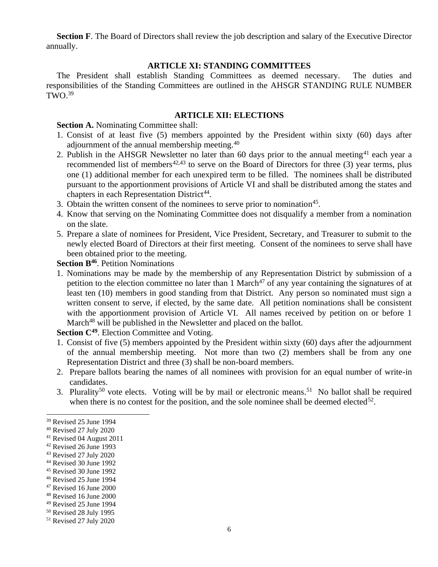**Section F**. The Board of Directors shall review the job description and salary of the Executive Director annually.

## **ARTICLE XI: STANDING COMMITTEES**

The President shall establish Standing Committees as deemed necessary. The duties and responsibilities of the Standing Committees are outlined in the AHSGR STANDING RULE NUMBER  $TWO.<sup>39</sup>$ 

### **ARTICLE XII: ELECTIONS**

**Section A.** Nominating Committee shall:

- 1. Consist of at least five (5) members appointed by the President within sixty (60) days after adjournment of the annual membership meeting.<sup>40</sup>
- 2. Publish in the AHSGR Newsletter no later than 60 days prior to the annual meeting<sup>41</sup> each year a recommended list of members<sup>42,43</sup> to serve on the Board of Directors for three  $(3)$  year terms, plus one (1) additional member for each unexpired term to be filled. The nominees shall be distributed pursuant to the apportionment provisions of Article VI and shall be distributed among the states and chapters in each Representation District<sup>44</sup>.
- 3. Obtain the written consent of the nominees to serve prior to nomination<sup>45</sup>.
- 4. Know that serving on the Nominating Committee does not disqualify a member from a nomination on the slate.
- 5. Prepare a slate of nominees for President, Vice President, Secretary, and Treasurer to submit to the newly elected Board of Directors at their first meeting. Consent of the nominees to serve shall have been obtained prior to the meeting.

**Section B<sup>46</sup>**. Petition Nominations

1. Nominations may be made by the membership of any Representation District by submission of a petition to the election committee no later than 1 March<sup>47</sup> of any year containing the signatures of at least ten (10) members in good standing from that District. Any person so nominated must sign a written consent to serve, if elected, by the same date. All petition nominations shall be consistent with the apportionment provision of Article VI. All names received by petition on or before 1 March<sup>48</sup> will be published in the Newsletter and placed on the ballot.

Section C<sup>49</sup>. Election Committee and Voting.

- 1. Consist of five (5) members appointed by the President within sixty (60) days after the adjournment of the annual membership meeting. Not more than two (2) members shall be from any one Representation District and three (3) shall be non-board members.
- 2. Prepare ballots bearing the names of all nominees with provision for an equal number of write-in candidates.
- 3. Plurality<sup>50</sup> vote elects. Voting will be by mail or electronic means.<sup>51</sup> No ballot shall be required when there is no contest for the position, and the sole nominee shall be deemed elected<sup>52</sup>.

<sup>45</sup> Revised 30 June 1992

<sup>39</sup> Revised 25 June 1994

<sup>40</sup> Revised 27 July 2020

<sup>41</sup> Revised 04 August 2011

<sup>42</sup> Revised 26 June 1993

<sup>43</sup> Revised 27 July 2020

<sup>44</sup> Revised 30 June 1992

<sup>46</sup> Revised 25 June 1994

<sup>47</sup> Revised 16 June 2000

<sup>48</sup> Revised 16 June 2000

<sup>49</sup> Revised 25 June 1994

<sup>50</sup> Revised 28 July 1995

<sup>51</sup> Revised 27 July 2020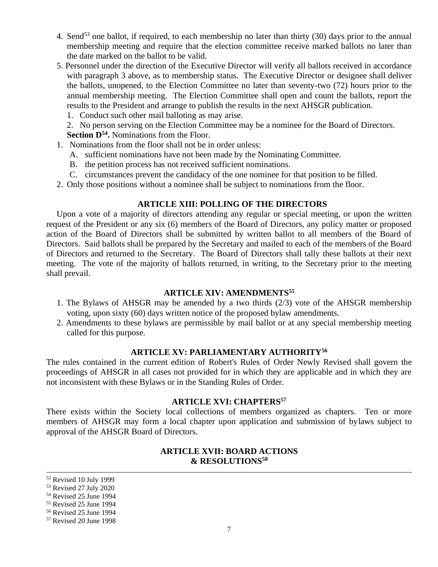- 4. Send<sup>53</sup> one ballot, if required, to each membership no later than thirty (30) days prior to the annual membership meeting and require that the election committee receive marked ballots no later than the date marked on the ballot to be valid.
- 5. Personnel under the direction of the Executive Director will verify all ballots received in accordance with paragraph 3 above, as to membership status. The Executive Director or designee shall deliver the ballots, unopened, to the Election Committee no later than seventy-two (72) hours prior to the annual membership meeting. The Election Committee shall open and count the ballots, report the results to the President and arrange to publish the results in the next AHSGR publication.
	- 1. Conduct such other mail balloting as may arise.

2. No person serving on the Election Committee may be a nominee for the Board of Directors. **Section D<sup>54</sup> .** Nominations from the Floor.

- 1. Nominations from the floor shall not be in order unless:
	- A. sufficient nominations have not been made by the Nominating Committee.
	- B. the petition process has not received sufficient nominations.
	- C. circumstances prevent the candidacy of the one nominee for that position to be filled.
- 2. Only those positions without a nominee shall be subject to nominations from the floor.

## **ARTICLE XIII: POLLING OF THE DIRECTORS**

Upon a vote of a majority of directors attending any regular or special meeting, or upon the written request of the President or any six (6) members of the Board of Directors, any policy matter or proposed action of the Board of Directors shall be submitted by written ballot to all members of the Board of Directors. Said ballots shall be prepared by the Secretary and mailed to each of the members of the Board of Directors and returned to the Secretary. The Board of Directors shall tally these ballots at their next meeting. The vote of the majority of ballots returned, in writing, to the Secretary prior to the meeting shall prevail.

## **ARTICLE XIV: AMENDMENTS<sup>55</sup>**

- 1. The Bylaws of AHSGR may be amended by a two thirds (2/3) vote of the AHSGR membership voting, upon sixty (60) days written notice of the proposed bylaw amendments.
- 2. Amendments to these bylaws are permissible by mail ballot or at any special membership meeting called for this purpose.

## **ARTICLE XV: PARLIAMENTARY AUTHORITY<sup>56</sup>**

The rules contained in the current edition of Robert's Rules of Order Newly Revised shall govern the proceedings of AHSGR in all cases not provided for in which they are applicable and in which they are not inconsistent with these Bylaws or in the Standing Rules of Order.

## **ARTICLE XVI: CHAPTERS<sup>57</sup>**

There exists within the Society local collections of members organized as chapters. Ten or more members of AHSGR may form a local chapter upon application and submission of bylaws subject to approval of the AHSGR Board of Directors.

## **ARTICLE XVII: BOARD ACTIONS & RESOLUTIONS<sup>58</sup>**

<sup>52</sup> Revised 10 July 1999

<sup>53</sup> Revised 27 July 2020

<sup>54</sup> Revised 25 June 1994

<sup>55</sup> Revised 25 June 1994

<sup>56</sup> Revised 25 June 1994

<sup>57</sup> Revised 20 June 1998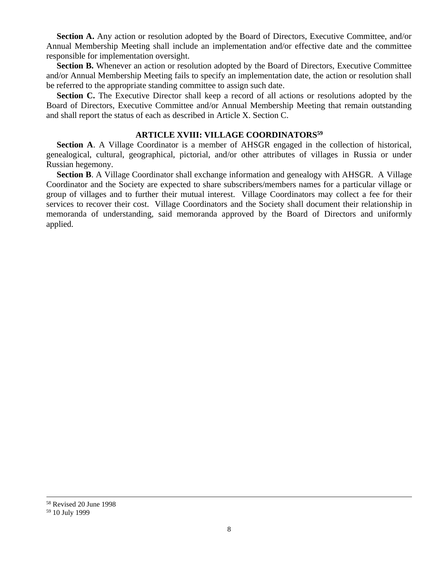**Section A.** Any action or resolution adopted by the Board of Directors, Executive Committee, and/or Annual Membership Meeting shall include an implementation and/or effective date and the committee responsible for implementation oversight.

**Section B.** Whenever an action or resolution adopted by the Board of Directors, Executive Committee and/or Annual Membership Meeting fails to specify an implementation date, the action or resolution shall be referred to the appropriate standing committee to assign such date.

Section C. The Executive Director shall keep a record of all actions or resolutions adopted by the Board of Directors, Executive Committee and/or Annual Membership Meeting that remain outstanding and shall report the status of each as described in Article X. Section C.

## **ARTICLE XVIII: VILLAGE COORDINATORS<sup>59</sup>**

**Section A**. A Village Coordinator is a member of AHSGR engaged in the collection of historical, genealogical, cultural, geographical, pictorial, and/or other attributes of villages in Russia or under Russian hegemony.

**Section B**. A Village Coordinator shall exchange information and genealogy with AHSGR. A Village Coordinator and the Society are expected to share subscribers/members names for a particular village or group of villages and to further their mutual interest. Village Coordinators may collect a fee for their services to recover their cost. Village Coordinators and the Society shall document their relationship in memoranda of understanding, said memoranda approved by the Board of Directors and uniformly applied.

<sup>58</sup> Revised 20 June 1998 <sup>59</sup> 10 July 1999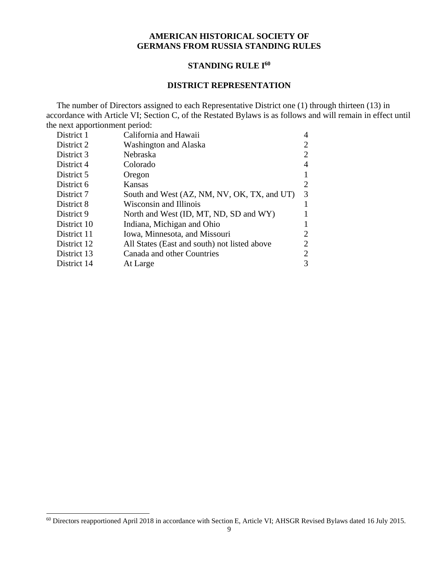## **AMERICAN HISTORICAL SOCIETY OF GERMANS FROM RUSSIA STANDING RULES**

## **STANDING RULE I<sup>60</sup>**

#### **DISTRICT REPRESENTATION**

The number of Directors assigned to each Representative District one (1) through thirteen (13) in accordance with Article VI; Section C, of the Restated Bylaws is as follows and will remain in effect until the next apportionment period:

| District 1  | California and Hawaii                        | 4              |
|-------------|----------------------------------------------|----------------|
| District 2  | Washington and Alaska                        | 2              |
| District 3  | Nebraska                                     | 2              |
| District 4  | Colorado                                     | 4              |
| District 5  | Oregon                                       |                |
| District 6  | Kansas                                       | $\overline{2}$ |
| District 7  | South and West (AZ, NM, NV, OK, TX, and UT)  | 3              |
| District 8  | Wisconsin and Illinois                       |                |
| District 9  | North and West (ID, MT, ND, SD and WY)       |                |
| District 10 | Indiana, Michigan and Ohio                   |                |
| District 11 | Iowa, Minnesota, and Missouri                | 2              |
| District 12 | All States (East and south) not listed above | 2              |
| District 13 | Canada and other Countries                   | 2              |
| District 14 | At Large                                     | 3              |
|             |                                              |                |

<sup>60</sup> Directors reapportioned April 2018 in accordance with Section E, Article VI; AHSGR Revised Bylaws dated 16 July 2015.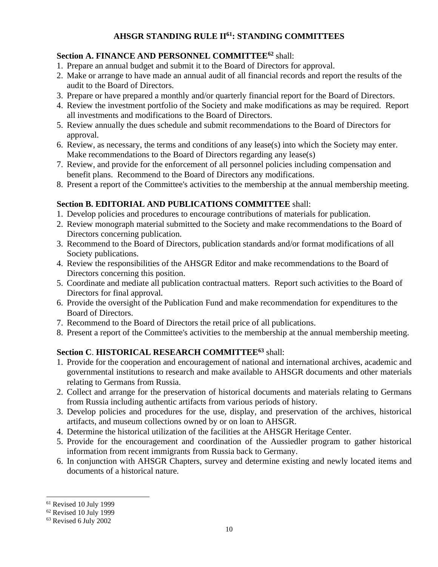# **AHSGR STANDING RULE II<sup>61</sup>: STANDING COMMITTEES**

# **Section A. FINANCE AND PERSONNEL COMMITTEE<sup>62</sup>** shall:

- 1. Prepare an annual budget and submit it to the Board of Directors for approval.
- 2. Make or arrange to have made an annual audit of all financial records and report the results of the audit to the Board of Directors.
- 3. Prepare or have prepared a monthly and/or quarterly financial report for the Board of Directors.
- 4. Review the investment portfolio of the Society and make modifications as may be required. Report all investments and modifications to the Board of Directors.
- 5. Review annually the dues schedule and submit recommendations to the Board of Directors for approval.
- 6. Review, as necessary, the terms and conditions of any lease(s) into which the Society may enter. Make recommendations to the Board of Directors regarding any lease(s)
- 7. Review, and provide for the enforcement of all personnel policies including compensation and benefit plans. Recommend to the Board of Directors any modifications.
- 8. Present a report of the Committee's activities to the membership at the annual membership meeting.

# **Section B. EDITORIAL AND PUBLICATIONS COMMITTEE** shall:

- 1. Develop policies and procedures to encourage contributions of materials for publication.
- 2. Review monograph material submitted to the Society and make recommendations to the Board of Directors concerning publication.
- 3. Recommend to the Board of Directors, publication standards and/or format modifications of all Society publications.
- 4. Review the responsibilities of the AHSGR Editor and make recommendations to the Board of Directors concerning this position.
- 5. Coordinate and mediate all publication contractual matters. Report such activities to the Board of Directors for final approval.
- 6. Provide the oversight of the Publication Fund and make recommendation for expenditures to the Board of Directors.
- 7. Recommend to the Board of Directors the retail price of all publications.
- 8. Present a report of the Committee's activities to the membership at the annual membership meeting.

# **Section C**. **HISTORICAL RESEARCH COMMITTEE<sup>63</sup>** shall:

- 1. Provide for the cooperation and encouragement of national and international archives, academic and governmental institutions to research and make available to AHSGR documents and other materials relating to Germans from Russia.
- 2. Collect and arrange for the preservation of historical documents and materials relating to Germans from Russia including authentic artifacts from various periods of history.
- 3. Develop policies and procedures for the use, display, and preservation of the archives, historical artifacts, and museum collections owned by or on loan to AHSGR.
- 4. Determine the historical utilization of the facilities at the AHSGR Heritage Center.
- 5. Provide for the encouragement and coordination of the Aussiedler program to gather historical information from recent immigrants from Russia back to Germany.
- 6. In conjunction with AHSGR Chapters, survey and determine existing and newly located items and documents of a historical nature.

<sup>61</sup> Revised 10 July 1999

 $62$  Revised 10 July 1999

<sup>63</sup> Revised 6 July 2002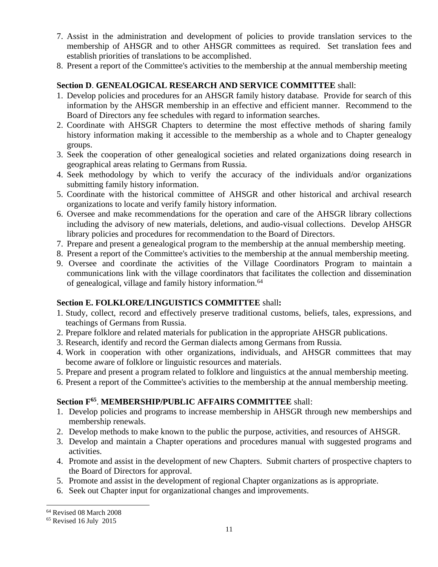- 7. Assist in the administration and development of policies to provide translation services to the membership of AHSGR and to other AHSGR committees as required. Set translation fees and establish priorities of translations to be accomplished.
- 8. Present a report of the Committee's activities to the membership at the annual membership meeting

## **Section D**. **GENEALOGICAL RESEARCH AND SERVICE COMMITTEE** shall:

- 1. Develop policies and procedures for an AHSGR family history database. Provide for search of this information by the AHSGR membership in an effective and efficient manner. Recommend to the Board of Directors any fee schedules with regard to information searches.
- 2. Coordinate with AHSGR Chapters to determine the most effective methods of sharing family history information making it accessible to the membership as a whole and to Chapter genealogy groups.
- 3. Seek the cooperation of other genealogical societies and related organizations doing research in geographical areas relating to Germans from Russia.
- 4. Seek methodology by which to verify the accuracy of the individuals and/or organizations submitting family history information.
- 5. Coordinate with the historical committee of AHSGR and other historical and archival research organizations to locate and verify family history information.
- 6. Oversee and make recommendations for the operation and care of the AHSGR library collections including the advisory of new materials, deletions, and audio-visual collections. Develop AHSGR library policies and procedures for recommendation to the Board of Directors.
- 7. Prepare and present a genealogical program to the membership at the annual membership meeting.
- 8. Present a report of the Committee's activities to the membership at the annual membership meeting.
- 9. Oversee and coordinate the activities of the Village Coordinators Program to maintain a communications link with the village coordinators that facilitates the collection and dissemination of genealogical, village and family history information.<sup>64</sup>

# **Section E. FOLKLORE/LINGUISTICS COMMITTEE** shall**:**

- 1. Study, collect, record and effectively preserve traditional customs, beliefs, tales, expressions, and teachings of Germans from Russia.
- 2. Prepare folklore and related materials for publication in the appropriate AHSGR publications.
- 3. Research, identify and record the German dialects among Germans from Russia.
- 4. Work in cooperation with other organizations, individuals, and AHSGR committees that may become aware of folklore or linguistic resources and materials.
- 5. Prepare and present a program related to folklore and linguistics at the annual membership meeting.
- 6. Present a report of the Committee's activities to the membership at the annual membership meeting.

# **Section F<sup>65</sup>** . **MEMBERSHIP/PUBLIC AFFAIRS COMMITTEE** shall:

- 1. Develop policies and programs to increase membership in AHSGR through new memberships and membership renewals.
- 2. Develop methods to make known to the public the purpose, activities, and resources of AHSGR.
- 3. Develop and maintain a Chapter operations and procedures manual with suggested programs and activities.
- 4. Promote and assist in the development of new Chapters. Submit charters of prospective chapters to the Board of Directors for approval.
- 5. Promote and assist in the development of regional Chapter organizations as is appropriate.
- 6. Seek out Chapter input for organizational changes and improvements.

<sup>64</sup> Revised 08 March 2008

<sup>65</sup> Revised 16 July 2015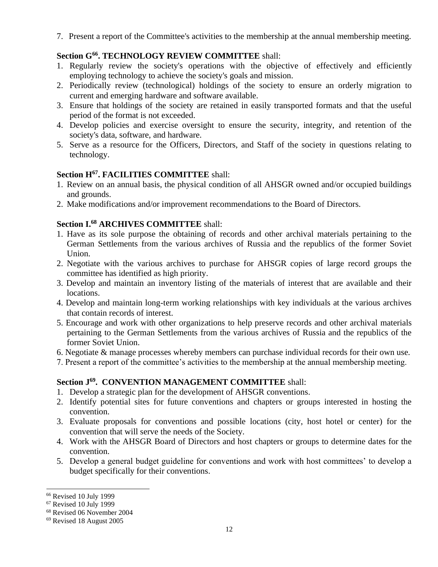7. Present a report of the Committee's activities to the membership at the annual membership meeting.

# **Section G<sup>66</sup>. TECHNOLOGY REVIEW COMMITTEE** shall:

- 1. Regularly review the society's operations with the objective of effectively and efficiently employing technology to achieve the society's goals and mission.
- 2. Periodically review (technological) holdings of the society to ensure an orderly migration to current and emerging hardware and software available.
- 3. Ensure that holdings of the society are retained in easily transported formats and that the useful period of the format is not exceeded.
- 4. Develop policies and exercise oversight to ensure the security, integrity, and retention of the society's data, software, and hardware.
- 5. Serve as a resource for the Officers, Directors, and Staff of the society in questions relating to technology.

# **Section H<sup>67</sup>. FACILITIES COMMITTEE** shall:

- 1. Review on an annual basis, the physical condition of all AHSGR owned and/or occupied buildings and grounds.
- 2. Make modifications and/or improvement recommendations to the Board of Directors.

# **Section I.<sup>68</sup> ARCHIVES COMMITTEE** shall:

- 1. Have as its sole purpose the obtaining of records and other archival materials pertaining to the German Settlements from the various archives of Russia and the republics of the former Soviet Union.
- 2. Negotiate with the various archives to purchase for AHSGR copies of large record groups the committee has identified as high priority.
- 3. Develop and maintain an inventory listing of the materials of interest that are available and their locations.
- 4. Develop and maintain long-term working relationships with key individuals at the various archives that contain records of interest.
- 5. Encourage and work with other organizations to help preserve records and other archival materials pertaining to the German Settlements from the various archives of Russia and the republics of the former Soviet Union.
- 6. Negotiate & manage processes whereby members can purchase individual records for their own use.
- 7. Present a report of the committee's activities to the membership at the annual membership meeting.

# **Section J<sup>69</sup>. CONVENTION MANAGEMENT COMMITTEE** shall:

- 1. Develop a strategic plan for the development of AHSGR conventions.
- 2. Identify potential sites for future conventions and chapters or groups interested in hosting the convention.
- 3. Evaluate proposals for conventions and possible locations (city, host hotel or center) for the convention that will serve the needs of the Society.
- 4. Work with the AHSGR Board of Directors and host chapters or groups to determine dates for the convention.
- 5. Develop a general budget guideline for conventions and work with host committees' to develop a budget specifically for their conventions.

<sup>66</sup> Revised 10 July 1999

<sup>67</sup> Revised 10 July 1999

<sup>68</sup> Revised 06 November 2004

<sup>69</sup> Revised 18 August 2005